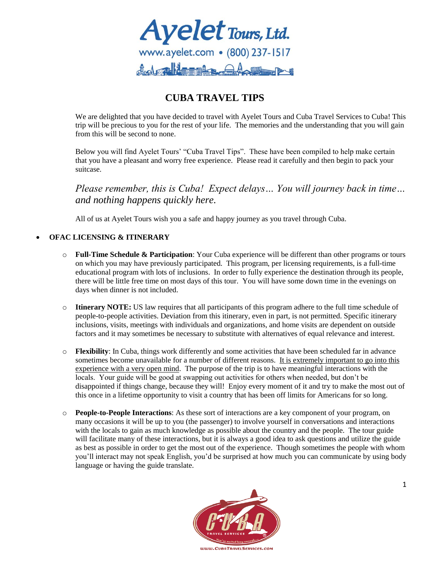

# **CUBA TRAVEL TIPS**

We are delighted that you have decided to travel with Ayelet Tours and Cuba Travel Services to Cuba! This trip will be precious to you for the rest of your life. The memories and the understanding that you will gain from this will be second to none.

Below you will find Ayelet Tours' "Cuba Travel Tips". These have been compiled to help make certain that you have a pleasant and worry free experience. Please read it carefully and then begin to pack your suitcase.

*Please remember, this is Cuba! Expect delays… You will journey back in time… and nothing happens quickly here.*

All of us at Ayelet Tours wish you a safe and happy journey as you travel through Cuba.

# **OFAC LICENSING & ITINERARY**

- o **Full-Time Schedule & Participation**: Your Cuba experience will be different than other programs or tours on which you may have previously participated. This program, per licensing requirements, is a full-time educational program with lots of inclusions. In order to fully experience the destination through its people, there will be little free time on most days of this tour. You will have some down time in the evenings on days when dinner is not included.
- o **Itinerary NOTE:** US law requires that all participants of this program adhere to the full time schedule of people-to-people activities. Deviation from this itinerary, even in part, is not permitted. Specific itinerary inclusions, visits, meetings with individuals and organizations, and home visits are dependent on outside factors and it may sometimes be necessary to substitute with alternatives of equal relevance and interest.
- o **Flexibility**: In Cuba, things work differently and some activities that have been scheduled far in advance sometimes become unavailable for a number of different reasons. It is extremely important to go into this experience with a very open mind. The purpose of the trip is to have meaningful interactions with the locals. Your guide will be good at swapping out activities for others when needed, but don't be disappointed if things change, because they will! Enjoy every moment of it and try to make the most out of this once in a lifetime opportunity to visit a country that has been off limits for Americans for so long.
- o **People-to-People Interactions**: As these sort of interactions are a key component of your program, on many occasions it will be up to you (the passenger) to involve yourself in conversations and interactions with the locals to gain as much knowledge as possible about the country and the people. The tour guide will facilitate many of these interactions, but it is always a good idea to ask questions and utilize the guide as best as possible in order to get the most out of the experience. Though sometimes the people with whom you'll interact may not speak English, you'd be surprised at how much you can communicate by using body language or having the guide translate.

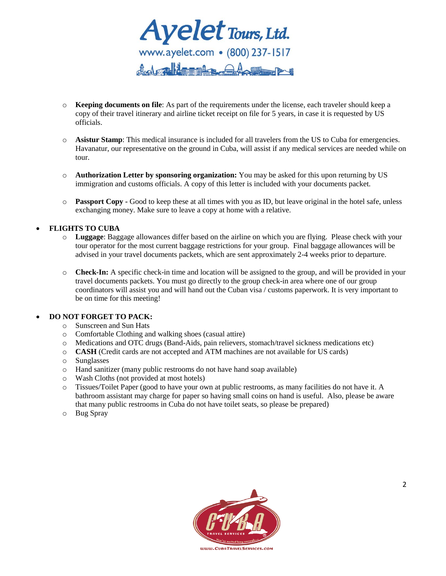

- o **Keeping documents on file**: As part of the requirements under the license, each traveler should keep a copy of their travel itinerary and airline ticket receipt on file for 5 years, in case it is requested by US officials.
- o **Asistur Stamp**: This medical insurance is included for all travelers from the US to Cuba for emergencies. Havanatur, our representative on the ground in Cuba, will assist if any medical services are needed while on tour.
- o **Authorization Letter by sponsoring organization:** You may be asked for this upon returning by US immigration and customs officials. A copy of this letter is included with your documents packet.
- o **Passport Copy -** Good to keep these at all times with you as ID, but leave original in the hotel safe, unless exchanging money. Make sure to leave a copy at home with a relative.

**FLIGHTS TO CUBA**

- o **Luggage**: Baggage allowances differ based on the airline on which you are flying. Please check with your tour operator for the most current baggage restrictions for your group. Final baggage allowances will be advised in your travel documents packets, which are sent approximately 2-4 weeks prior to departure.
- o **Check-In:** A specific check-in time and location will be assigned to the group, and will be provided in your travel documents packets. You must go directly to the group check-in area where one of our group coordinators will assist you and will hand out the Cuban visa / customs paperwork. It is very important to be on time for this meeting!

#### **DO NOT FORGET TO PACK:**

- o Sunscreen and Sun Hats
- o Comfortable Clothing and walking shoes (casual attire)
- o Medications and OTC drugs (Band-Aids, pain relievers, stomach/travel sickness medications etc)
- o **CASH** (Credit cards are not accepted and ATM machines are not available for US cards)
- o Sunglasses
- o Hand sanitizer (many public restrooms do not have hand soap available)
- o Wash Cloths (not provided at most hotels)
- o Tissues/Toilet Paper (good to have your own at public restrooms, as many facilities do not have it. A bathroom assistant may charge for paper so having small coins on hand is useful. Also, please be aware that many public restrooms in Cuba do not have toilet seats, so please be prepared)
- o Bug Spray

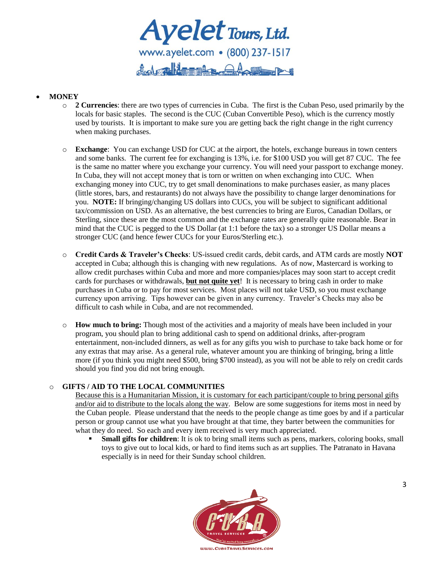Ayelet Tours, Ltd. del allegge Aw

## **MONEY**

- o **2 Currencies**: there are two types of currencies in Cuba. The first is the Cuban Peso, used primarily by the locals for basic staples. The second is the CUC (Cuban Convertible Peso), which is the currency mostly used by tourists. It is important to make sure you are getting back the right change in the right currency when making purchases.
- o **Exchange**: You can exchange USD for CUC at the airport, the hotels, exchange bureaus in town centers and some banks. The current fee for exchanging is 13%, i.e. for \$100 USD you will get 87 CUC. The fee is the same no matter where you exchange your currency. You will need your passport to exchange money. In Cuba, they will not accept money that is torn or written on when exchanging into CUC. When exchanging money into CUC, try to get small denominations to make purchases easier, as many places (little stores, bars, and restaurants) do not always have the possibility to change larger denominations for you. **NOTE:** If bringing/changing US dollars into CUCs, you will be subject to significant additional tax/commission on USD. As an alternative, the best currencies to bring are Euros, Canadian Dollars, or Sterling, since these are the most common and the exchange rates are generally quite reasonable. Bear in mind that the CUC is pegged to the US Dollar (at 1:1 before the tax) so a stronger US Dollar means a stronger CUC (and hence fewer CUCs for your Euros/Sterling etc.).
- o **Credit Cards & Traveler's Checks**: US-issued credit cards, debit cards, and ATM cards are mostly **NOT** accepted in Cuba; although this is changing with new regulations. As of now, Mastercard is working to allow credit purchases within Cuba and more and more companies/places may soon start to accept credit cards for purchases or withdrawals, **but not quite yet**! It is necessary to bring cash in order to make purchases in Cuba or to pay for most services. Most places will not take USD, so you must exchange currency upon arriving. Tips however can be given in any currency. Traveler's Checks may also be difficult to cash while in Cuba, and are not recommended.
- o **How much to bring:** Though most of the activities and a majority of meals have been included in your program, you should plan to bring additional cash to spend on additional drinks, after-program entertainment, non-included dinners, as well as for any gifts you wish to purchase to take back home or for any extras that may arise. As a general rule, whatever amount you are thinking of bringing, bring a little more (if you think you might need \$500, bring \$700 instead), as you will not be able to rely on credit cards should you find you did not bring enough.

## o **GIFTS / AID TO THE LOCAL COMMUNITIES**

Because this is a Humanitarian Mission, it is customary for each participant/couple to bring personal gifts and/or aid to distribute to the locals along the way. Below are some suggestions for items most in need by the Cuban people. Please understand that the needs to the people change as time goes by and if a particular person or group cannot use what you have brought at that time, they barter between the communities for what they do need. So each and every item received is very much appreciated.

 **Small gifts for children**: It is ok to bring small items such as pens, markers, coloring books, small toys to give out to local kids, or hard to find items such as art supplies. The Patranato in Havana especially is in need for their Sunday school children.

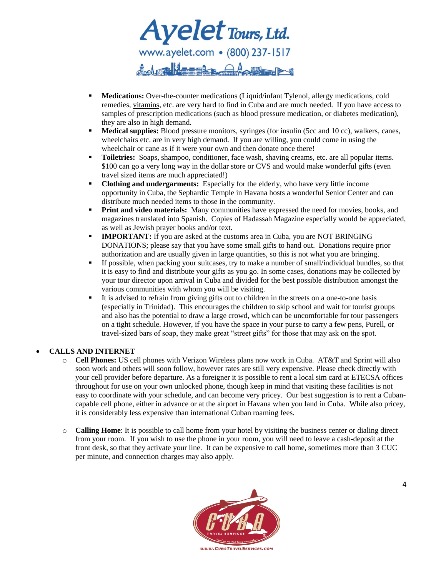Ayelet Tours, Ltd. did alt==4  $\sim$  ((U))  $\sim$ 

- **Medications:** Over-the-counter medications (Liquid/infant Tylenol, allergy medications, cold remedies, vitamins, etc. are very hard to find in Cuba and are much needed. If you have access to samples of prescription medications (such as blood pressure medication, or diabetes medication), they are also in high demand.
- **Medical supplies:** Blood pressure monitors, syringes (for insulin (5cc and 10 cc), walkers, canes, wheelchairs etc. are in very high demand. If you are willing, you could come in using the wheelchair or cane as if it were your own and then donate once there!
- **Toiletries:** Soaps, shampoo, conditioner, face wash, shaving creams, etc. are all popular items. \$100 can go a very long way in the dollar store or CVS and would make wonderful gifts (even travel sized items are much appreciated!)
- **Clothing and undergarments:** Especially for the elderly, who have very little income opportunity in Cuba, the Sephardic Temple in Havana hosts a wonderful Senior Center and can distribute much needed items to those in the community.
- **Print and video materials:** Many communities have expressed the need for movies, books, and magazines translated into Spanish. Copies of Hadassah Magazine especially would be appreciated, as well as Jewish prayer books and/or text.
- **IMPORTANT:** If you are asked at the customs area in Cuba, you are NOT BRINGING DONATIONS; please say that you have some small gifts to hand out. Donations require prior authorization and are usually given in large quantities, so this is not what you are bringing.
- If possible, when packing your suitcases, try to make a number of small/individual bundles, so that it is easy to find and distribute your gifts as you go. In some cases, donations may be collected by your tour director upon arrival in Cuba and divided for the best possible distribution amongst the various communities with whom you will be visiting.
- It is advised to refrain from giving gifts out to children in the streets on a one-to-one basis (especially in Trinidad). This encourages the children to skip school and wait for tourist groups and also has the potential to draw a large crowd, which can be uncomfortable for tour passengers on a tight schedule. However, if you have the space in your purse to carry a few pens, Purell, or travel-sized bars of soap, they make great "street gifts" for those that may ask on the spot.

## **CALLS AND INTERNET**

- o **Cell Phones:** US cell phones with Verizon Wireless plans now work in Cuba. AT&T and Sprint will also soon work and others will soon follow, however rates are still very expensive. Please check directly with your cell provider before departure. As a foreigner it is possible to rent a local sim card at ETECSA offices throughout for use on your own unlocked phone, though keep in mind that visiting these facilities is not easy to coordinate with your schedule, and can become very pricey. Our best suggestion is to rent a Cubancapable cell phone, either in advance or at the airport in Havana when you land in Cuba. While also pricey, it is considerably less expensive than international Cuban roaming fees.
- o **Calling Home**: It is possible to call home from your hotel by visiting the business center or dialing direct from your room. If you wish to use the phone in your room, you will need to leave a cash-deposit at the front desk, so that they activate your line. It can be expensive to call home, sometimes more than 3 CUC per minute, and connection charges may also apply.

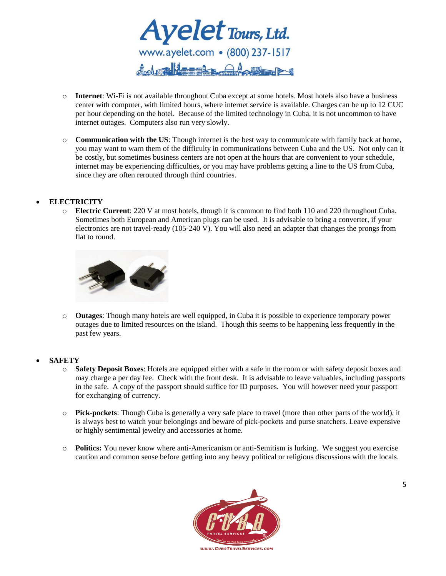

- o **Internet**: Wi-Fi is not available throughout Cuba except at some hotels. Most hotels also have a business center with computer, with limited hours, where internet service is available. Charges can be up to 12 CUC per hour depending on the hotel. Because of the limited technology in Cuba, it is not uncommon to have internet outages. Computers also run very slowly.
- o **Communication with the US**: Though internet is the best way to communicate with family back at home, you may want to warn them of the difficulty in communications between Cuba and the US. Not only can it be costly, but sometimes business centers are not open at the hours that are convenient to your schedule, internet may be experiencing difficulties, or you may have problems getting a line to the US from Cuba, since they are often rerouted through third countries.

#### **ELECTRICITY**

o **Electric Current**: 220 V at most hotels, though it is common to find both 110 and 220 throughout Cuba. Sometimes both European and American plugs can be used. It is advisable to bring a converter, if your electronics are not travel-ready (105-240 V). You will also need an adapter that changes the prongs from flat to round.



o **Outages**: Though many hotels are well equipped, in Cuba it is possible to experience temporary power outages due to limited resources on the island. Though this seems to be happening less frequently in the past few years.

#### **SAFETY**

- o **Safety Deposit Boxes**: Hotels are equipped either with a safe in the room or with safety deposit boxes and may charge a per day fee. Check with the front desk. It is advisable to leave valuables, including passports in the safe. A copy of the passport should suffice for ID purposes. You will however need your passport for exchanging of currency.
- o **Pick-pockets**: Though Cuba is generally a very safe place to travel (more than other parts of the world), it is always best to watch your belongings and beware of pick-pockets and purse snatchers. Leave expensive or highly sentimental jewelry and accessories at home.
- o **Politics:** You never know where anti-Americanism or anti-Semitism is lurking. We suggest you exercise caution and common sense before getting into any heavy political or religious discussions with the locals.

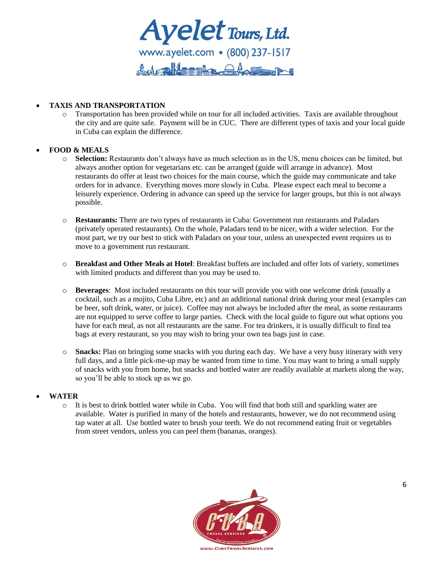

## **TAXIS AND TRANSPORTATION**

o Transportation has been provided while on tour for all included activities. Taxis are available throughout the city and are quite safe. Payment will be in CUC. There are different types of taxis and your local guide in Cuba can explain the difference.

# **FOOD & MEALS**

- o **Selection:** Restaurants don't always have as much selection as in the US, menu choices can be limited, but always another option for vegetarians etc. can be arranged (guide will arrange in advance). Most restaurants do offer at least two choices for the main course, which the guide may communicate and take orders for in advance. Everything moves more slowly in Cuba. Please expect each meal to become a leisurely experience. Ordering in advance can speed up the service for larger groups, but this is not always possible.
- o **Restaurants:** There are two types of restaurants in Cuba: Government run restaurants and Paladars (privately operated restaurants). On the whole, Paladars tend to be nicer, with a wider selection. For the most part, we try our best to stick with Paladars on your tour, unless an unexpected event requires us to move to a government run restaurant.
- o **Breakfast and Other Meals at Hotel**: Breakfast buffets are included and offer lots of variety, sometimes with limited products and different than you may be used to.
- o **Beverages**: Most included restaurants on this tour will provide you with one welcome drink (usually a cocktail, such as a mojito, Cuba Libre, etc) and an additional national drink during your meal (examples can be beer, soft drink, water, or juice). Coffee may not always be included after the meal, as some restaurants are not equipped to serve coffee to large parties. Check with the local guide to figure out what options you have for each meal, as not all restaurants are the same. For tea drinkers, it is usually difficult to find tea bags at every restaurant, so you may wish to bring your own tea bags just in case.
- o **Snacks:** Plan on bringing some snacks with you during each day. We have a very busy itinerary with very full days, and a little pick-me-up may be wanted from time to time. You may want to bring a small supply of snacks with you from home, but snacks and bottled water are readily available at markets along the way, so you'll be able to stock up as we go.

## **WATER**

 $\circ$  It is best to drink bottled water while in Cuba. You will find that both still and sparkling water are available. Water is purified in many of the hotels and restaurants, however, we do not recommend using tap water at all. Use bottled water to brush your teeth. We do not recommend eating fruit or vegetables from street vendors, unless you can peel them (bananas, oranges).

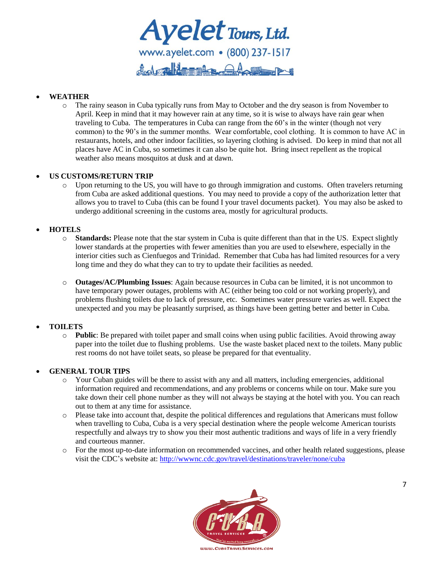Ayelet Tours, Ltd. flod alleged A A

# **WEATHER**

o The rainy season in Cuba typically runs from May to October and the dry season is from November to April. Keep in mind that it may however rain at any time, so it is wise to always have rain gear when traveling to Cuba. The temperatures in Cuba can range from the 60's in the winter (though not very common) to the 90's in the summer months. Wear comfortable, cool clothing. It is common to have AC in restaurants, hotels, and other indoor facilities, so layering clothing is advised. Do keep in mind that not all places have AC in Cuba, so sometimes it can also be quite hot. Bring insect repellent as the tropical weather also means mosquitos at dusk and at dawn.

## **US CUSTOMS/RETURN TRIP**

o Upon returning to the US, you will have to go through immigration and customs. Often travelers returning from Cuba are asked additional questions. You may need to provide a copy of the authorization letter that allows you to travel to Cuba (this can be found I your travel documents packet). You may also be asked to undergo additional screening in the customs area, mostly for agricultural products.

# **HOTELS**

- o **Standards:** Please note that the star system in Cuba is quite different than that in the US. Expect slightly lower standards at the properties with fewer amenities than you are used to elsewhere, especially in the interior cities such as Cienfuegos and Trinidad. Remember that Cuba has had limited resources for a very long time and they do what they can to try to update their facilities as needed.
- o **Outages/AC/Plumbing Issues**: Again because resources in Cuba can be limited, it is not uncommon to have temporary power outages, problems with AC (either being too cold or not working properly), and problems flushing toilets due to lack of pressure, etc. Sometimes water pressure varies as well. Expect the unexpected and you may be pleasantly surprised, as things have been getting better and better in Cuba.

## **TOILETS**

o **Public**: Be prepared with toilet paper and small coins when using public facilities. Avoid throwing away paper into the toilet due to flushing problems. Use the waste basket placed next to the toilets. Many public rest rooms do not have toilet seats, so please be prepared for that eventuality.

## **GENERAL TOUR TIPS**

- $\circ$  Your Cuban guides will be there to assist with any and all matters, including emergencies, additional information required and recommendations, and any problems or concerns while on tour. Make sure you take down their cell phone number as they will not always be staying at the hotel with you. You can reach out to them at any time for assistance.
- o Please take into account that, despite the political differences and regulations that Americans must follow when travelling to Cuba, Cuba is a very special destination where the people welcome American tourists respectfully and always try to show you their most authentic traditions and ways of life in a very friendly and courteous manner.
- o For the most up-to-date information on recommended vaccines, and other health related suggestions, please visit the CDC's website at:<http://wwwnc.cdc.gov/travel/destinations/traveler/none/cuba>